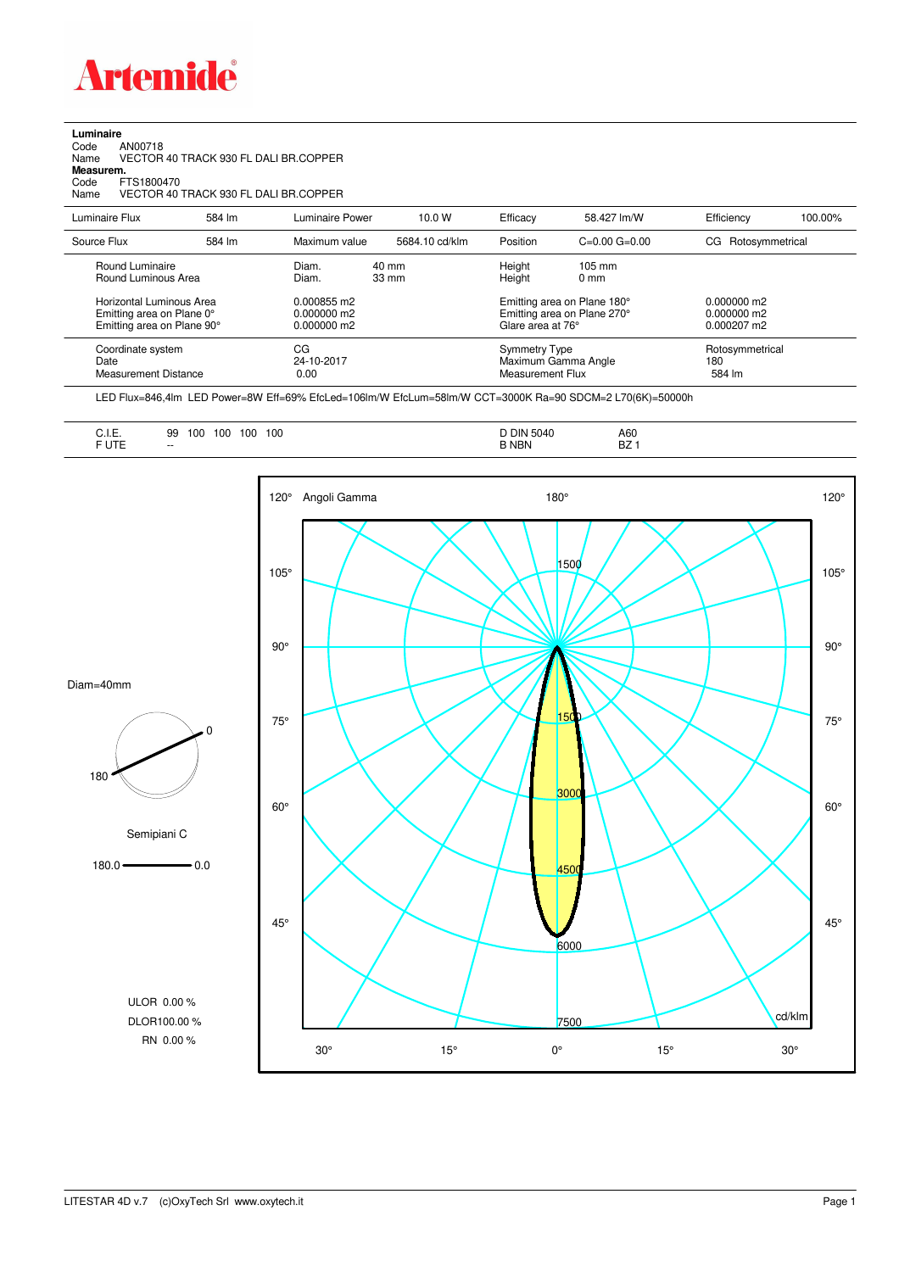

**Luminaire**<br>Code<br>Name Code AN00718 Name VECTOR 40 TRACK 930 FL DALI BR.COPPER

**Measurem.** Code FTS1800470

Name VECTOR 40 TRACK 930 FL DALI BR.COPPER

| Luminaire Flux                                                                                  | 584 lm | Luminaire Power                                | 10.0 W                   | Efficacy                                                      | 58.427 lm/W                                                                                      | Efficiency                                        | 100.00% |
|-------------------------------------------------------------------------------------------------|--------|------------------------------------------------|--------------------------|---------------------------------------------------------------|--------------------------------------------------------------------------------------------------|---------------------------------------------------|---------|
| Source Flux                                                                                     | 584 lm | Maximum value                                  | 5684.10 cd/klm           | Position                                                      | $C=0.00$ $G=0.00$                                                                                | CG Rotosymmetrical                                |         |
| Round Luminaire<br>Round Luminous Area<br>Horizontal Luminous Area<br>Emitting area on Plane 0° |        | Diam.<br>Diam.<br>0.000855 m2<br>$0.000000$ m2 | 40 mm<br>$33 \text{ mm}$ | Height<br>Height                                              | $105 \text{ mm}$<br>$0 \text{ mm}$<br>Emitting area on Plane 180°<br>Emitting area on Plane 270° | $0.000000$ m2<br>$0.000000$ m2                    |         |
| Emitting area on Plane 90°<br>Coordinate system<br>Date<br><b>Measurement Distance</b>          |        | $0.000000$ m2<br>CG<br>24-10-2017<br>0.00      |                          | Glare area at 76°<br><b>Symmetry Type</b><br>Measurement Flux | Maximum Gamma Angle                                                                              | $0.000207$ m2<br>Rotosymmetrical<br>180<br>584 lm |         |

LED Flux=846,4lm LED Power=8W Eff=69% EfcLed=106lm/W EfcLum=58lm/W CCT=3000K Ra=90 SDCM=2 L70(6K)=50000h